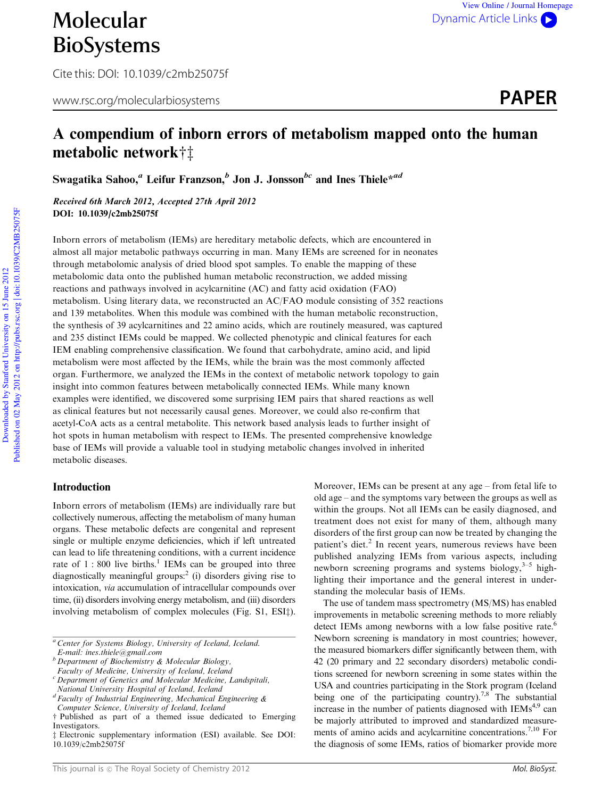# Molecular BioSystems

Cite this: DOI: 10.1039/c2mb25075f

## A compendium of inborn errors of metabolism mapped onto the human metabolic network†‡

Swagatika Sahoo, $\phantom{a}^a$  Leifur Franzson, $\phantom{a}^b$  Jon J. Jonsson $^{bc}$  and Ines Thiele $^{*ad}$ 

Received 6th March 2012, Accepted 27th April 2012 DOI: 10.1039/c2mb25075f

Inborn errors of metabolism (IEMs) are hereditary metabolic defects, which are encountered in almost all major metabolic pathways occurring in man. Many IEMs are screened for in neonates through metabolomic analysis of dried blood spot samples. To enable the mapping of these metabolomic data onto the published human metabolic reconstruction, we added missing reactions and pathways involved in acylcarnitine (AC) and fatty acid oxidation (FAO) metabolism. Using literary data, we reconstructed an AC/FAO module consisting of 352 reactions and 139 metabolites. When this module was combined with the human metabolic reconstruction, the synthesis of 39 acylcarnitines and 22 amino acids, which are routinely measured, was captured and 235 distinct IEMs could be mapped. We collected phenotypic and clinical features for each IEM enabling comprehensive classification. We found that carbohydrate, amino acid, and lipid metabolism were most affected by the IEMs, while the brain was the most commonly affected organ. Furthermore, we analyzed the IEMs in the context of metabolic network topology to gain insight into common features between metabolically connected IEMs. While many known examples were identified, we discovered some surprising IEM pairs that shared reactions as well as clinical features but not necessarily causal genes. Moreover, we could also re-confirm that acetyl-CoA acts as a central metabolite. This network based analysis leads to further insight of hot spots in human metabolism with respect to IEMs. The presented comprehensive knowledge base of IEMs will provide a valuable tool in studying metabolic changes involved in inherited metabolic diseases.

## Introduction

Inborn errors of metabolism (IEMs) are individually rare but collectively numerous, affecting the metabolism of many human organs. These metabolic defects are congenital and represent single or multiple enzyme deficiencies, which if left untreated can lead to life threatening conditions, with a current incidence rate of  $1:800$  live births.<sup>1</sup> IEMs can be grouped into three diagnostically meaningful groups:<sup>2</sup> (i) disorders giving rise to intoxication, via accumulation of intracellular compounds over time, (ii) disorders involving energy metabolism, and (iii) disorders involving metabolism of complex molecules (Fig. S1, ESI<sup>†</sup>).

Moreover, IEMs can be present at any age – from fetal life to old age – and the symptoms vary between the groups as well as within the groups. Not all IEMs can be easily diagnosed, and treatment does not exist for many of them, although many disorders of the first group can now be treated by changing the patient's diet.<sup>2</sup> In recent years, numerous reviews have been published analyzing IEMs from various aspects, including newborn screening programs and systems biology, $3-5$  highlighting their importance and the general interest in understanding the molecular basis of IEMs.

The use of tandem mass spectrometry (MS/MS) has enabled improvements in metabolic screening methods to more reliably detect IEMs among newborns with a low false positive rate.<sup>6</sup> Newborn screening is mandatory in most countries; however, the measured biomarkers differ significantly between them, with 42 (20 primary and 22 secondary disorders) metabolic conditions screened for newborn screening in some states within the USA and countries participating in the Stork program (Iceland being one of the participating country).<sup>7,8</sup> The substantial increase in the number of patients diagnosed with  $\text{IEMs}^{4,9}$  can be majorly attributed to improved and standardized measurements of amino acids and acylcarnitine concentrations.<sup>7,10</sup> For the diagnosis of some IEMs, ratios of biomarker provide more

 $\overline{a}$  Center for Systems Biology, University of Iceland, Iceland. E-mail: ines.thiele@gmail.com

 $b$  Department of Biochemistry & Molecular Biology,

Faculty of Medicine, University of Iceland, Iceland

 $c$  Department of Genetics and Molecular Medicine, Landspitali, National University Hospital of Iceland, Iceland

<sup>&</sup>lt;sup>d</sup> Faculty of Industrial Engineering, Mechanical Engineering & Computer Science, University of Iceland, Iceland

w Published as part of a themed issue dedicated to Emerging Investigators.

 $\ddagger$  Electronic supplementary information (ESI) available. See DOI: 10.1039/c2mb25075f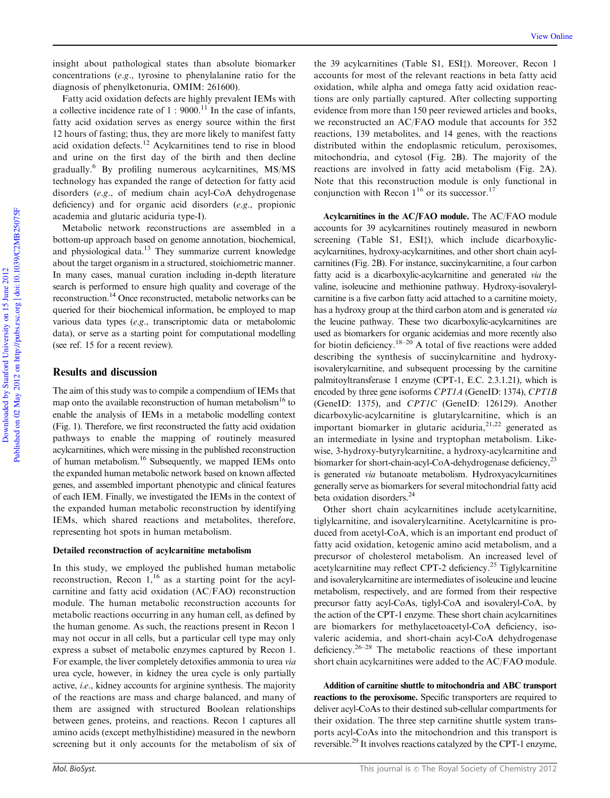insight about pathological states than absolute biomarker concentrations (e.g., tyrosine to phenylalanine ratio for the

diagnosis of phenylketonuria, OMIM: 261600). Fatty acid oxidation defects are highly prevalent IEMs with a collective incidence rate of  $1:9000$ .<sup>11</sup> In the case of infants, fatty acid oxidation serves as energy source within the first 12 hours of fasting; thus, they are more likely to manifest fatty acid oxidation defects.<sup>12</sup> Acylcarnitines tend to rise in blood and urine on the first day of the birth and then decline gradually.<sup>6</sup> By profiling numerous acylcarnitines, MS/MS technology has expanded the range of detection for fatty acid disorders (e.g., of medium chain acyl-CoA dehydrogenase deficiency) and for organic acid disorders (e.g., propionic academia and glutaric aciduria type-I).

Metabolic network reconstructions are assembled in a bottom-up approach based on genome annotation, biochemical, and physiological data. $13$  They summarize current knowledge about the target organism in a structured, stoichiometric manner. In many cases, manual curation including in-depth literature search is performed to ensure high quality and coverage of the reconstruction.<sup>14</sup> Once reconstructed, metabolic networks can be queried for their biochemical information, be employed to map various data types (e.g., transcriptomic data or metabolomic data), or serve as a starting point for computational modelling (see ref. 15 for a recent review).

## Results and discussion

The aim of this study was to compile a compendium of IEMs that map onto the available reconstruction of human metabolism<sup>16</sup> to enable the analysis of IEMs in a metabolic modelling context (Fig. 1). Therefore, we first reconstructed the fatty acid oxidation pathways to enable the mapping of routinely measured acylcarnitines, which were missing in the published reconstruction of human metabolism.<sup>16</sup> Subsequently, we mapped IEMs onto the expanded human metabolic network based on known affected genes, and assembled important phenotypic and clinical features of each IEM. Finally, we investigated the IEMs in the context of the expanded human metabolic reconstruction by identifying IEMs, which shared reactions and metabolites, therefore, representing hot spots in human metabolism.

#### Detailed reconstruction of acylcarnitine metabolism

In this study, we employed the published human metabolic reconstruction, Recon  $1$ ,<sup>16</sup> as a starting point for the acylcarnitine and fatty acid oxidation (AC/FAO) reconstruction module. The human metabolic reconstruction accounts for metabolic reactions occurring in any human cell, as defined by the human genome. As such, the reactions present in Recon 1 may not occur in all cells, but a particular cell type may only express a subset of metabolic enzymes captured by Recon 1. For example, the liver completely detoxifies ammonia to urea via urea cycle, however, in kidney the urea cycle is only partially active, i.e., kidney accounts for arginine synthesis. The majority of the reactions are mass and charge balanced, and many of them are assigned with structured Boolean relationships between genes, proteins, and reactions. Recon 1 captures all amino acids (except methylhistidine) measured in the newborn screening but it only accounts for the metabolism of six of

the 39 acylcarnitines (Table S1, ESI<sup>†</sup>). Moreover, Recon 1 accounts for most of the relevant reactions in beta fatty acid oxidation, while alpha and omega fatty acid oxidation reactions are only partially captured. After collecting supporting evidence from more than 150 peer reviewed articles and books, we reconstructed an AC/FAO module that accounts for 352 reactions, 139 metabolites, and 14 genes, with the reactions distributed within the endoplasmic reticulum, peroxisomes, mitochondria, and cytosol (Fig. 2B). The majority of the reactions are involved in fatty acid metabolism (Fig. 2A). Note that this reconstruction module is only functional in conjunction with Recon  $1^{16}$  or its successor.<sup>17</sup>

Acylcarnitines in the AC/FAO module. The AC/FAO module accounts for 39 acylcarnitines routinely measured in newborn screening (Table S1, ESI $\ddagger$ ), which include dicarboxylicacylcarnitines, hydroxy-acylcarnitines, and other short chain acylcarnitines (Fig. 2B). For instance, succinylcarnitine, a four carbon fatty acid is a dicarboxylic-acylcarnitine and generated via the valine, isoleucine and methionine pathway. Hydroxy-isovalerylcarnitine is a five carbon fatty acid attached to a carnitine moiety, has a hydroxy group at the third carbon atom and is generated via the leucine pathway. These two dicarboxylic-acylcarnitines are used as biomarkers for organic acidemias and more recently also for biotin deficiency.<sup>18–20</sup> A total of five reactions were added describing the synthesis of succinylcarnitine and hydroxyisovalerylcarnitine, and subsequent processing by the carnitine palmitoyltransferase 1 enzyme (CPT-1, E.C. 2.3.1.21), which is encoded by three gene isoforms CPT1A (GeneID: 1374), CPT1B (GeneID: 1375), and CPT1C (GeneID: 126129). Another dicarboxylic-acylcarnitine is glutarylcarnitine, which is an important biomarker in glutaric aciduria,<sup>21,22</sup> generated as an intermediate in lysine and tryptophan metabolism. Likewise, 3-hydroxy-butyrylcarnitine, a hydroxy-acylcarnitine and biomarker for short-chain-acyl-CoA-dehydrogenase deficiency,<sup>23</sup> is generated via butanoate metabolism. Hydroxyacylcarnitines generally serve as biomarkers for several mitochondrial fatty acid beta oxidation disorders.<sup>24</sup>

Other short chain acylcarnitines include acetylcarnitine, tiglylcarnitine, and isovalerylcarnitine. Acetylcarnitine is produced from acetyl-CoA, which is an important end product of fatty acid oxidation, ketogenic amino acid metabolism, and a precursor of cholesterol metabolism. An increased level of acetylcarnitine may reflect CPT-2 deficiency.<sup>25</sup> Tiglylcarnitine and isovalerylcarnitine are intermediates of isoleucine and leucine metabolism, respectively, and are formed from their respective precursor fatty acyl-CoAs, tiglyl-CoA and isovaleryl-CoA, by the action of the CPT-1 enzyme. These short chain acylcarnitines are biomarkers for methylacetoacetyl-CoA deficiency, isovaleric acidemia, and short-chain acyl-CoA dehydrogenase deficiency.26–28 The metabolic reactions of these important short chain acylcarnitines were added to the AC/FAO module.

Addition of carnitine shuttle to mitochondria and ABC transport reactions to the peroxisome. Specific transporters are required to deliver acyl-CoAs to their destined sub-cellular compartments for their oxidation. The three step carnitine shuttle system transports acyl-CoAs into the mitochondrion and this transport is reversible.<sup>29</sup> It involves reactions catalyzed by the CPT-1 enzyme,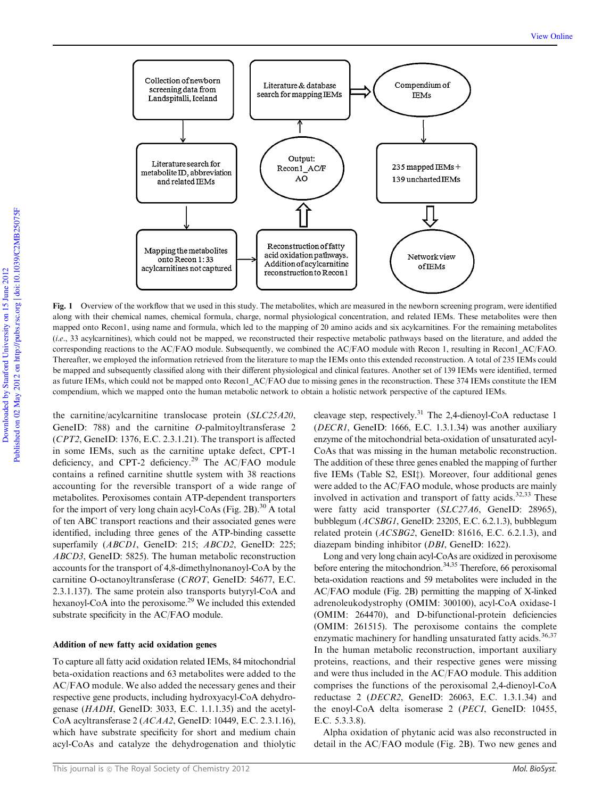

Fig. 1 Overview of the workflow that we used in this study. The metabolites, which are measured in the newborn screening program, were identified along with their chemical names, chemical formula, charge, normal physiological concentration, and related IEMs. These metabolites were then mapped onto Recon1, using name and formula, which led to the mapping of 20 amino acids and six acylcarnitines. For the remaining metabolites (i.e., 33 acylcarnitines), which could not be mapped, we reconstructed their respective metabolic pathways based on the literature, and added the corresponding reactions to the AC/FAO module. Subsequently, we combined the AC/FAO module with Recon 1, resulting in Recon1 AC/FAO. Thereafter, we employed the information retrieved from the literature to map the IEMs onto this extended reconstruction. A total of 235 IEMs could be mapped and subsequently classified along with their different physiological and clinical features. Another set of 139 IEMs were identified, termed as future IEMs, which could not be mapped onto Recon1 AC/FAO due to missing genes in the reconstruction. These 374 IEMs constitute the IEM compendium, which we mapped onto the human metabolic network to obtain a holistic network perspective of the captured IEMs.

the carnitine/acylcarnitine translocase protein (SLC25A20, GeneID: 788) and the carnitine *O*-palmitoyltransferase 2 (CPT2, GeneID: 1376, E.C. 2.3.1.21). The transport is affected in some IEMs, such as the carnitine uptake defect, CPT-1 deficiency, and CPT-2 deficiency.<sup>29</sup> The AC/FAO module contains a refined carnitine shuttle system with 38 reactions accounting for the reversible transport of a wide range of metabolites. Peroxisomes contain ATP-dependent transporters for the import of very long chain acyl-CoAs (Fig. 2B).<sup>30</sup> A total of ten ABC transport reactions and their associated genes were identified, including three genes of the ATP-binding cassette superfamily (*ABCD1*, GeneID: 215; *ABCD2*, GeneID: 225; ABCD3, GeneID: 5825). The human metabolic reconstruction accounts for the transport of 4,8-dimethylnonanoyl-CoA by the carnitine O-octanoyltransferase (CROT, GeneID: 54677, E.C. 2.3.1.137). The same protein also transports butyryl-CoA and hexanoyl-CoA into the peroxisome.<sup>29</sup> We included this extended substrate specificity in the AC/FAO module.

#### Addition of new fatty acid oxidation genes

To capture all fatty acid oxidation related IEMs, 84 mitochondrial beta-oxidation reactions and 63 metabolites were added to the AC/FAO module. We also added the necessary genes and their respective gene products, including hydroxyacyl-CoA dehydrogenase (HADH, GeneID: 3033, E.C. 1.1.1.35) and the acetyl-CoA acyltransferase 2 (ACAA2, GeneID: 10449, E.C. 2.3.1.16), which have substrate specificity for short and medium chain acyl-CoAs and catalyze the dehydrogenation and thiolytic cleavage step, respectively.<sup>31</sup> The 2,4-dienoyl-CoA reductase 1 (DECR1, GeneID: 1666, E.C. 1.3.1.34) was another auxiliary enzyme of the mitochondrial beta-oxidation of unsaturated acyl-CoAs that was missing in the human metabolic reconstruction. The addition of these three genes enabled the mapping of further five IEMs (Table S2, ESI<sup>†</sup>). Moreover, four additional genes were added to the AC/FAO module, whose products are mainly involved in activation and transport of fatty acids.<sup>32,33</sup> These were fatty acid transporter (SLC27A6, GeneID: 28965), bubblegum (ACSBG1, GeneID: 23205, E.C. 6.2.1.3), bubblegum related protein (ACSBG2, GeneID: 81616, E.C. 6.2.1.3), and diazepam binding inhibitor (DBI, GeneID: 1622).

Long and very long chain acyl-CoAs are oxidized in peroxisome before entering the mitochondrion. $34,35$  Therefore, 66 peroxisomal beta-oxidation reactions and 59 metabolites were included in the AC/FAO module (Fig. 2B) permitting the mapping of X-linked adrenoleukodystrophy (OMIM: 300100), acyl-CoA oxidase-1 (OMIM: 264470), and D-bifunctional-protein deficiencies (OMIM: 261515). The peroxisome contains the complete enzymatic machinery for handling unsaturated fatty acids.<sup>36,37</sup> In the human metabolic reconstruction, important auxiliary proteins, reactions, and their respective genes were missing and were thus included in the AC/FAO module. This addition comprises the functions of the peroxisomal 2,4-dienoyl-CoA reductase 2 (DECR2, GeneID: 26063, E.C. 1.3.1.34) and the enoyl-CoA delta isomerase 2 (PECI, GeneID: 10455, E.C. 5.3.3.8).

Alpha oxidation of phytanic acid was also reconstructed in detail in the AC/FAO module (Fig. 2B). Two new genes and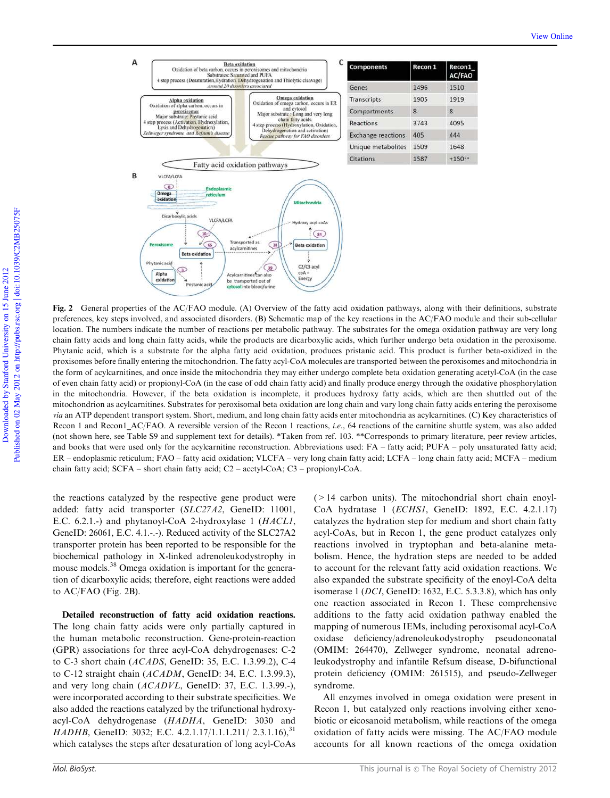Published on 02 May 2012 on http://pubs.rsc.org | doi:10.1039/C2MB25075F Published on 02 May 2012 on http://pubs.rsc.org | doi:10.1039/C2MB25075F Downloaded by Stanford University on 15 June 2012 Downloaded by Stanford University on 15 June 2012



Fig. 2 General properties of the AC/FAO module. (A) Overview of the fatty acid oxidation pathways, along with their definitions, substrate preferences, key steps involved, and associated disorders. (B) Schematic map of the key reactions in the AC/FAO module and their sub-cellular location. The numbers indicate the number of reactions per metabolic pathway. The substrates for the omega oxidation pathway are very long chain fatty acids and long chain fatty acids, while the products are dicarboxylic acids, which further undergo beta oxidation in the peroxisome. Phytanic acid, which is a substrate for the alpha fatty acid oxidation, produces pristanic acid. This product is further beta-oxidized in the proxisomes before finally entering the mitochondrion. The fatty acyl-CoA molecules are transported between the peroxisomes and mitochondria in the form of acylcarnitines, and once inside the mitochondria they may either undergo complete beta oxidation generating acetyl-CoA (in the case of even chain fatty acid) or propionyl-CoA (in the case of odd chain fatty acid) and finally produce energy through the oxidative phosphorylation in the mitochondria. However, if the beta oxidation is incomplete, it produces hydroxy fatty acids, which are then shuttled out of the mitochondrion as acylcarnitines. Substrates for peroxisomal beta oxidation are long chain and vary long chain fatty acids entering the peroxisome via an ATP dependent transport system. Short, medium, and long chain fatty acids enter mitochondria as acylcarnitines. (C) Key characteristics of Recon 1 and Recon1 AC/FAO. A reversible version of the Recon 1 reactions, i.e., 64 reactions of the carnitine shuttle system, was also added (not shown here, see Table S9 and supplement text for details). \*Taken from ref. 103. \*\*Corresponds to primary literature, peer review articles, and books that were used only for the acylcarnitine reconstruction. Abbreviations used: FA – fatty acid; PUFA – poly unsaturated fatty acid; ER – endoplasmic reticulum; FAO – fatty acid oxidation; VLCFA – very long chain fatty acid; LCFA – long chain fatty acid; MCFA – medium chain fatty acid; SCFA – short chain fatty acid; C2 – acetyl-CoA; C3 – propionyl-CoA.

the reactions catalyzed by the respective gene product were added: fatty acid transporter (SLC27A2, GeneID: 11001, E.C. 6.2.1.-) and phytanoyl-CoA 2-hydroxylase 1 (HACL1, GeneID: 26061, E.C. 4.1.-.-). Reduced activity of the SLC27A2 transporter protein has been reported to be responsible for the biochemical pathology in X-linked adrenoleukodystrophy in mouse models.<sup>38</sup> Omega oxidation is important for the generation of dicarboxylic acids; therefore, eight reactions were added to AC/FAO (Fig. 2B).

Detailed reconstruction of fatty acid oxidation reactions. The long chain fatty acids were only partially captured in the human metabolic reconstruction. Gene-protein-reaction (GPR) associations for three acyl-CoA dehydrogenases: C-2 to C-3 short chain (ACADS, GeneID: 35, E.C. 1.3.99.2), C-4 to C-12 straight chain (ACADM, GeneID: 34, E.C. 1.3.99.3), and very long chain (ACADVL, GeneID: 37, E.C. 1.3.99.-), were incorporated according to their substrate specificities. We also added the reactions catalyzed by the trifunctional hydroxyacyl-CoA dehydrogenase (HADHA, GeneID: 3030 and HADHB, GeneID: 3032; E.C. 4.2.1.17/1.1.1.211/ 2.3.1.16),<sup>31</sup> which catalyses the steps after desaturation of long acyl-CoAs  $($  > 14 carbon units). The mitochondrial short chain enoyl-CoA hydratase 1 (ECHS1, GeneID: 1892, E.C. 4.2.1.17) catalyzes the hydration step for medium and short chain fatty acyl-CoAs, but in Recon 1, the gene product catalyzes only reactions involved in tryptophan and beta-alanine metabolism. Hence, the hydration steps are needed to be added to account for the relevant fatty acid oxidation reactions. We also expanded the substrate specificity of the enoyl-CoA delta isomerase 1 (DCI, GeneID: 1632, E.C. 5.3.3.8), which has only one reaction associated in Recon 1. These comprehensive additions to the fatty acid oxidation pathway enabled the mapping of numerous IEMs, including peroxisomal acyl-CoA oxidase deficiency/adrenoleukodystrophy pseudoneonatal (OMIM: 264470), Zellweger syndrome, neonatal adrenoleukodystrophy and infantile Refsum disease, D-bifunctional protein deficiency (OMIM: 261515), and pseudo-Zellweger syndrome.

All enzymes involved in omega oxidation were present in Recon 1, but catalyzed only reactions involving either xenobiotic or eicosanoid metabolism, while reactions of the omega oxidation of fatty acids were missing. The AC/FAO module accounts for all known reactions of the omega oxidation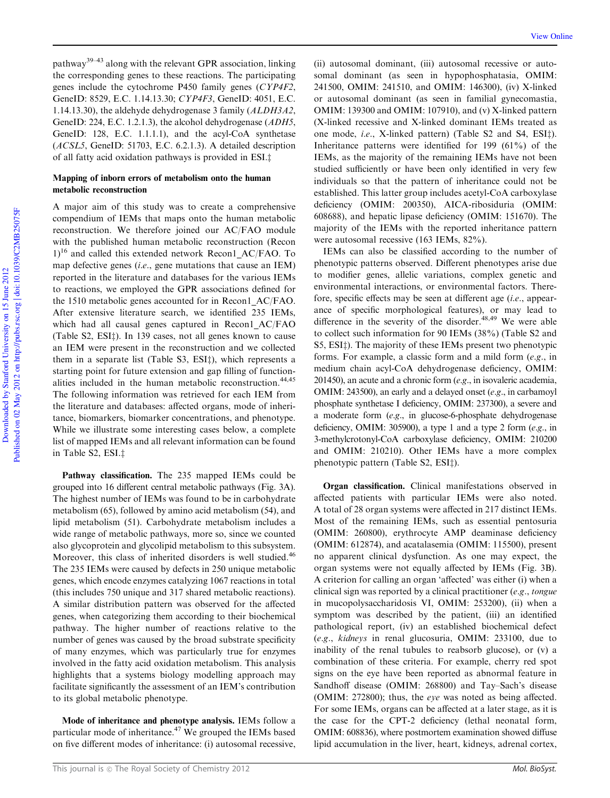pathway<sup>39–43</sup> along with the relevant GPR association, linking the corresponding genes to these reactions. The participating genes include the cytochrome P450 family genes (CYP4F2, GeneID: 8529, E.C. 1.14.13.30; CYP4F3, GeneID: 4051, E.C. 1.14.13.30), the aldehyde dehydrogenase 3 family (ALDH3A2, GeneID: 224, E.C. 1.2.1.3), the alcohol dehydrogenase (*ADH5*, GeneID: 128, E.C. 1.1.1.1), and the acyl-CoA synthetase (ACSL5, GeneID: 51703, E.C. 6.2.1.3). A detailed description of all fatty acid oxidation pathways is provided in ESI.<sup>†</sup>

## Mapping of inborn errors of metabolism onto the human metabolic reconstruction

A major aim of this study was to create a comprehensive compendium of IEMs that maps onto the human metabolic reconstruction. We therefore joined our AC/FAO module with the published human metabolic reconstruction (Recon  $1$ <sup>16</sup> and called this extended network Recon1\_AC/FAO. To map defective genes *(i.e.*, gene mutations that cause an IEM) reported in the literature and databases for the various IEMs to reactions, we employed the GPR associations defined for the 1510 metabolic genes accounted for in Recon1 AC/FAO. After extensive literature search, we identified 235 IEMs, which had all causal genes captured in Recon1\_AC/FAO (Table S2,  $ESI_+^+$ ). In 139 cases, not all genes known to cause an IEM were present in the reconstruction and we collected them in a separate list (Table S3, ESI<sup>†</sup>), which represents a starting point for future extension and gap filling of functionalities included in the human metabolic reconstruction.<sup>44,45</sup> The following information was retrieved for each IEM from the literature and databases: affected organs, mode of inheritance, biomarkers, biomarker concentrations, and phenotype. While we illustrate some interesting cases below, a complete list of mapped IEMs and all relevant information can be found in Table S2, ESI.<sup>1</sup>

Pathway classification. The 235 mapped IEMs could be grouped into 16 different central metabolic pathways (Fig. 3A). The highest number of IEMs was found to be in carbohydrate metabolism (65), followed by amino acid metabolism (54), and lipid metabolism (51). Carbohydrate metabolism includes a wide range of metabolic pathways, more so, since we counted also glycoprotein and glycolipid metabolism to this subsystem. Moreover, this class of inherited disorders is well studied.<sup>46</sup> The 235 IEMs were caused by defects in 250 unique metabolic genes, which encode enzymes catalyzing 1067 reactions in total (this includes 750 unique and 317 shared metabolic reactions). A similar distribution pattern was observed for the affected genes, when categorizing them according to their biochemical pathway. The higher number of reactions relative to the number of genes was caused by the broad substrate specificity of many enzymes, which was particularly true for enzymes involved in the fatty acid oxidation metabolism. This analysis highlights that a systems biology modelling approach may facilitate significantly the assessment of an IEM's contribution to its global metabolic phenotype.

Mode of inheritance and phenotype analysis. IEMs follow a particular mode of inheritance.<sup>47</sup> We grouped the IEMs based on five different modes of inheritance: (i) autosomal recessive,

(ii) autosomal dominant, (iii) autosomal recessive or autosomal dominant (as seen in hypophosphatasia, OMIM: 241500, OMIM: 241510, and OMIM: 146300), (iv) X-linked or autosomal dominant (as seen in familial gynecomastia, OMIM: 139300 and OMIM: 107910), and (v) X-linked pattern (X-linked recessive and X-linked dominant IEMs treated as one mode, i.e., X-linked pattern) (Table S2 and S4, ESI<sup>+</sup>). Inheritance patterns were identified for 199 (61%) of the IEMs, as the majority of the remaining IEMs have not been studied sufficiently or have been only identified in very few individuals so that the pattern of inheritance could not be established. This latter group includes acetyl-CoA carboxylase deficiency (OMIM: 200350), AICA-ribosiduria (OMIM: 608688), and hepatic lipase deficiency (OMIM: 151670). The majority of the IEMs with the reported inheritance pattern were autosomal recessive (163 IEMs, 82%).

IEMs can also be classified according to the number of phenotypic patterns observed. Different phenotypes arise due to modifier genes, allelic variations, complex genetic and environmental interactions, or environmental factors. Therefore, specific effects may be seen at different age (i.e., appearance of specific morphological features), or may lead to difference in the severity of the disorder. $48,49$  We were able to collect such information for 90 IEMs (38%) (Table S2 and S5, ESI<sup>†</sup>). The majority of these IEMs present two phenotypic forms. For example, a classic form and a mild form (e.g., in medium chain acyl-CoA dehydrogenase deficiency, OMIM: 201450), an acute and a chronic form (e.g., in isovaleric academia, OMIM: 243500), an early and a delayed onset (e.g., in carbamoyl phosphate synthetase I deficiency, OMIM: 237300), a severe and a moderate form (e.g., in glucose-6-phosphate dehydrogenase deficiency, OMIM: 305900), a type 1 and a type 2 form (e.g., in 3-methylcrotonyl-CoA carboxylase deficiency, OMIM: 210200 and OMIM: 210210). Other IEMs have a more complex phenotypic pattern (Table S2, ESI‡).

Organ classification. Clinical manifestations observed in affected patients with particular IEMs were also noted. A total of 28 organ systems were affected in 217 distinct IEMs. Most of the remaining IEMs, such as essential pentosuria (OMIM: 260800), erythrocyte AMP deaminase deficiency (OMIM: 612874), and acatalasemia (OMIM: 115500), present no apparent clinical dysfunction. As one may expect, the organ systems were not equally affected by IEMs (Fig. 3B). A criterion for calling an organ 'affected' was either (i) when a clinical sign was reported by a clinical practitioner (e.g., tongue in mucopolysaccharidosis VI, OMIM: 253200), (ii) when a symptom was described by the patient, (iii) an identified pathological report, (iv) an established biochemical defect (e.g., kidneys in renal glucosuria, OMIM: 233100, due to inability of the renal tubules to reabsorb glucose), or (v) a combination of these criteria. For example, cherry red spot signs on the eye have been reported as abnormal feature in Sandhoff disease (OMIM: 268800) and Tay–Sach's disease (OMIM: 272800); thus, the eye was noted as being affected. For some IEMs, organs can be affected at a later stage, as it is the case for the CPT-2 deficiency (lethal neonatal form, OMIM: 608836), where postmortem examination showed diffuse lipid accumulation in the liver, heart, kidneys, adrenal cortex,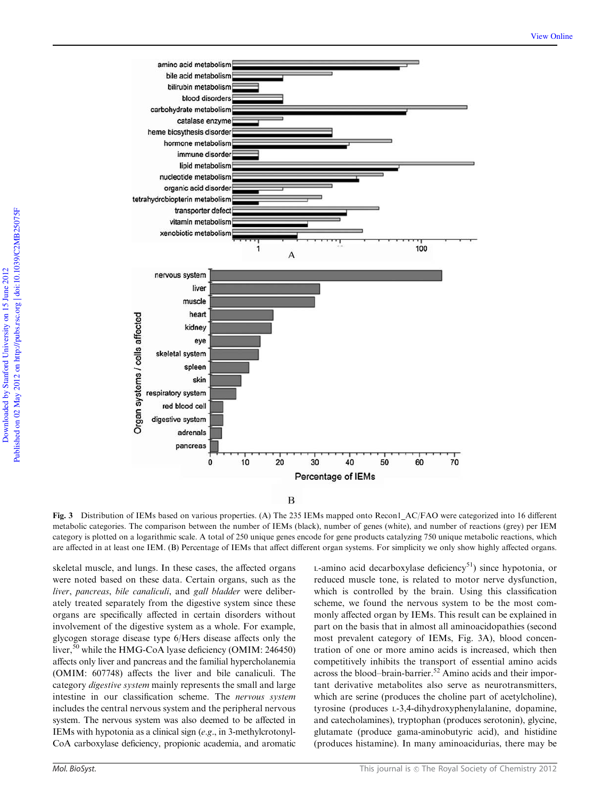

B

Fig. 3 Distribution of IEMs based on various properties. (A) The 235 IEMs mapped onto Recon1 AC/FAO were categorized into 16 different metabolic categories. The comparison between the number of IEMs (black), number of genes (white), and number of reactions (grey) per IEM category is plotted on a logarithmic scale. A total of 250 unique genes encode for gene products catalyzing 750 unique metabolic reactions, which are affected in at least one IEM. (B) Percentage of IEMs that affect different organ systems. For simplicity we only show highly affected organs.

skeletal muscle, and lungs. In these cases, the affected organs were noted based on these data. Certain organs, such as the liver, pancreas, bile canaliculi, and gall bladder were deliberately treated separately from the digestive system since these organs are specifically affected in certain disorders without involvement of the digestive system as a whole. For example, glycogen storage disease type 6/Hers disease affects only the liver,<sup>50</sup> while the HMG-CoA lyase deficiency (OMIM: 246450) affects only liver and pancreas and the familial hypercholanemia (OMIM: 607748) affects the liver and bile canaliculi. The category digestive system mainly represents the small and large intestine in our classification scheme. The nervous system includes the central nervous system and the peripheral nervous system. The nervous system was also deemed to be affected in IEMs with hypotonia as a clinical sign (e.g., in 3-methylcrotonyl-CoA carboxylase deficiency, propionic academia, and aromatic

 $L$ -amino acid decarboxylase deficiency<sup>51</sup>) since hypotonia, or reduced muscle tone, is related to motor nerve dysfunction, which is controlled by the brain. Using this classification scheme, we found the nervous system to be the most commonly affected organ by IEMs. This result can be explained in part on the basis that in almost all aminoacidopathies (second most prevalent category of IEMs, Fig. 3A), blood concentration of one or more amino acids is increased, which then competitively inhibits the transport of essential amino acids across the blood–brain-barrier.<sup>52</sup> Amino acids and their important derivative metabolites also serve as neurotransmitters, which are serine (produces the choline part of acetylcholine), tyrosine (produces <sup>L</sup>-3,4-dihydroxyphenylalanine, dopamine, and catecholamines), tryptophan (produces serotonin), glycine, glutamate (produce gama-aminobutyric acid), and histidine (produces histamine). In many aminoacidurias, there may be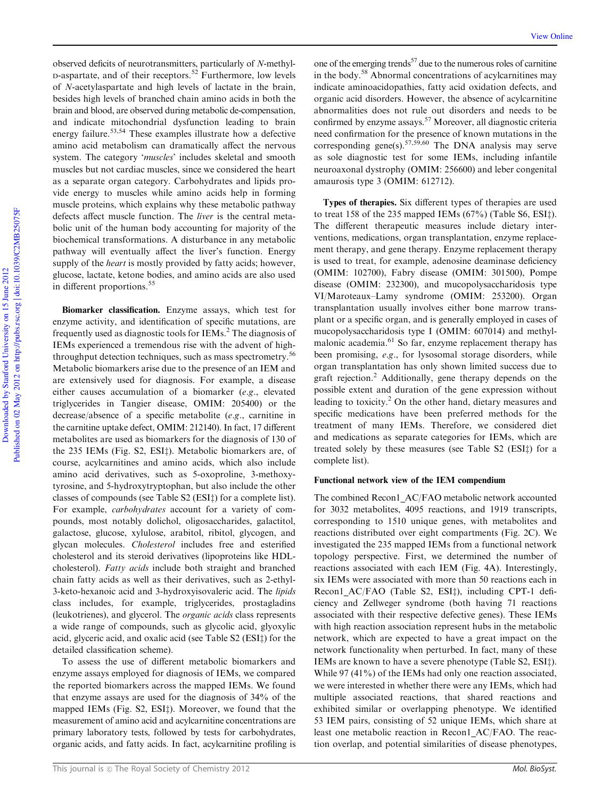observed deficits of neurotransmitters, particularly of N-methyl- $D$ -aspartate, and of their receptors.<sup>52</sup> Furthermore, low levels of N-acetylaspartate and high levels of lactate in the brain, besides high levels of branched chain amino acids in both the brain and blood, are observed during metabolic de-compensation, and indicate mitochondrial dysfunction leading to brain energy failure.<sup>53,54</sup> These examples illustrate how a defective amino acid metabolism can dramatically affect the nervous system. The category 'muscles' includes skeletal and smooth muscles but not cardiac muscles, since we considered the heart as a separate organ category. Carbohydrates and lipids provide energy to muscles while amino acids help in forming muscle proteins, which explains why these metabolic pathway defects affect muscle function. The liver is the central metabolic unit of the human body accounting for majority of the biochemical transformations. A disturbance in any metabolic pathway will eventually affect the liver's function. Energy supply of the *heart* is mostly provided by fatty acids; however, glucose, lactate, ketone bodies, and amino acids are also used in different proportions.<sup>55</sup>

Biomarker classification. Enzyme assays, which test for enzyme activity, and identification of specific mutations, are frequently used as diagnostic tools for IEMs.<sup>2</sup> The diagnosis of IEMs experienced a tremendous rise with the advent of highthroughput detection techniques, such as mass spectrometry.<sup>56</sup> Metabolic biomarkers arise due to the presence of an IEM and are extensively used for diagnosis. For example, a disease either causes accumulation of a biomarker (e.g., elevated triglycerides in Tangier disease, OMIM: 205400) or the decrease/absence of a specific metabolite (e.g., carnitine in the carnitine uptake defect, OMIM: 212140). In fact, 17 different metabolites are used as biomarkers for the diagnosis of 130 of the 235 IEMs (Fig. S2, ESI<sup>†</sup>). Metabolic biomarkers are, of course, acylcarnitines and amino acids, which also include amino acid derivatives, such as 5-oxoproline, 3-methoxytyrosine, and 5-hydroxytryptophan, but also include the other classes of compounds (see Table S2 (ESI‡) for a complete list). For example, carbohydrates account for a variety of compounds, most notably dolichol, oligosaccharides, galactitol, galactose, glucose, xylulose, arabitol, ribitol, glycogen, and glycan molecules. Cholesterol includes free and esterified cholesterol and its steroid derivatives (lipoproteins like HDLcholesterol). Fatty acids include both straight and branched chain fatty acids as well as their derivatives, such as 2-ethyl-3-keto-hexanoic acid and 3-hydroxyisovaleric acid. The lipids class includes, for example, triglycerides, prostagladins (leukotrienes), and glycerol. The organic acids class represents a wide range of compounds, such as glycolic acid, glyoxylic acid, glyceric acid, and oxalic acid (see Table S2 (ESI‡) for the detailed classification scheme).

To assess the use of different metabolic biomarkers and enzyme assays employed for diagnosis of IEMs, we compared the reported biomarkers across the mapped IEMs. We found that enzyme assays are used for the diagnosis of 34% of the mapped IEMs (Fig.  $S2$ , ESI $\ddagger$ ). Moreover, we found that the measurement of amino acid and acylcarnitine concentrations are primary laboratory tests, followed by tests for carbohydrates, organic acids, and fatty acids. In fact, acylcarnitine profiling is

one of the emerging trends<sup>57</sup> due to the numerous roles of carnitine in the body.<sup>58</sup> Abnormal concentrations of acylcarnitines may indicate aminoacidopathies, fatty acid oxidation defects, and organic acid disorders. However, the absence of acylcarnitine abnormalities does not rule out disorders and needs to be confirmed by enzyme assays.<sup>57</sup> Moreover, all diagnostic criteria need confirmation for the presence of known mutations in the corresponding gene(s).<sup>57,59,60</sup> The DNA analysis may serve as sole diagnostic test for some IEMs, including infantile neuroaxonal dystrophy (OMIM: 256600) and leber congenital amaurosis type 3 (OMIM: 612712).

Types of therapies. Six different types of therapies are used to treat 158 of the 235 mapped IEMs  $(67\%)$  (Table S6, ESI $\ddagger$ ). The different therapeutic measures include dietary interventions, medications, organ transplantation, enzyme replacement therapy, and gene therapy. Enzyme replacement therapy is used to treat, for example, adenosine deaminase deficiency (OMIM: 102700), Fabry disease (OMIM: 301500), Pompe disease (OMIM: 232300), and mucopolysaccharidosis type VI/Maroteaux–Lamy syndrome (OMIM: 253200). Organ transplantation usually involves either bone marrow transplant or a specific organ, and is generally employed in cases of mucopolysaccharidosis type I (OMIM: 607014) and methylmalonic academia.<sup>61</sup> So far, enzyme replacement therapy has been promising, e.g., for lysosomal storage disorders, while organ transplantation has only shown limited success due to graft rejection.<sup>2</sup> Additionally, gene therapy depends on the possible extent and duration of the gene expression without leading to toxicity.<sup>2</sup> On the other hand, dietary measures and specific medications have been preferred methods for the treatment of many IEMs. Therefore, we considered diet and medications as separate categories for IEMs, which are treated solely by these measures (see Table S2 (ESI $\ddagger$ ) for a complete list).

#### Functional network view of the IEM compendium

The combined Recon1\_AC/FAO metabolic network accounted for 3032 metabolites, 4095 reactions, and 1919 transcripts, corresponding to 1510 unique genes, with metabolites and reactions distributed over eight compartments (Fig. 2C). We investigated the 235 mapped IEMs from a functional network topology perspective. First, we determined the number of reactions associated with each IEM (Fig. 4A). Interestingly, six IEMs were associated with more than 50 reactions each in Recon1\_AC/FAO (Table S2, ESI<sup>†</sup>), including CPT-1 deficiency and Zellweger syndrome (both having 71 reactions associated with their respective defective genes). These IEMs with high reaction association represent hubs in the metabolic network, which are expected to have a great impact on the network functionality when perturbed. In fact, many of these IEMs are known to have a severe phenotype (Table S2,  $ESI<sub>1</sub><sup>+</sup>$ ). While 97 (41%) of the IEMs had only one reaction associated, we were interested in whether there were any IEMs, which had multiple associated reactions, that shared reactions and exhibited similar or overlapping phenotype. We identified 53 IEM pairs, consisting of 52 unique IEMs, which share at least one metabolic reaction in Recon1\_AC/FAO. The reaction overlap, and potential similarities of disease phenotypes,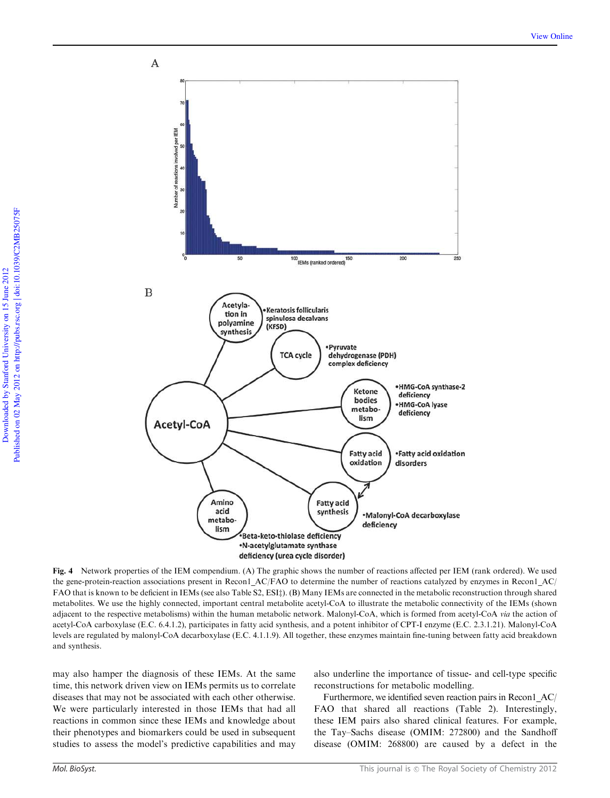

Fig. 4 Network properties of the IEM compendium. (A) The graphic shows the number of reactions affected per IEM (rank ordered). We used the gene-protein-reaction associations present in Recon1\_AC/FAO to determine the number of reactions catalyzed by enzymes in Recon1\_AC/ FAO that is known to be deficient in IEMs (see also Table S2, ESI‡). (B) Many IEMs are connected in the metabolic reconstruction through shared metabolites. We use the highly connected, important central metabolite acetyl-CoA to illustrate the metabolic connectivity of the IEMs (shown adjacent to the respective metabolisms) within the human metabolic network. Malonyl-CoA, which is formed from acetyl-CoA via the action of acetyl-CoA carboxylase (E.C. 6.4.1.2), participates in fatty acid synthesis, and a potent inhibitor of CPT-I enzyme (E.C. 2.3.1.21). Malonyl-CoA levels are regulated by malonyl-CoA decarboxylase (E.C. 4.1.1.9). All together, these enzymes maintain fine-tuning between fatty acid breakdown and synthesis.

may also hamper the diagnosis of these IEMs. At the same time, this network driven view on IEMs permits us to correlate diseases that may not be associated with each other otherwise. We were particularly interested in those IEMs that had all reactions in common since these IEMs and knowledge about their phenotypes and biomarkers could be used in subsequent studies to assess the model's predictive capabilities and may

also underline the importance of tissue- and cell-type specific reconstructions for metabolic modelling.

Furthermore, we identified seven reaction pairs in Recon1\_AC/ FAO that shared all reactions (Table 2). Interestingly, these IEM pairs also shared clinical features. For example, the Tay–Sachs disease (OMIM: 272800) and the Sandhoff disease (OMIM: 268800) are caused by a defect in the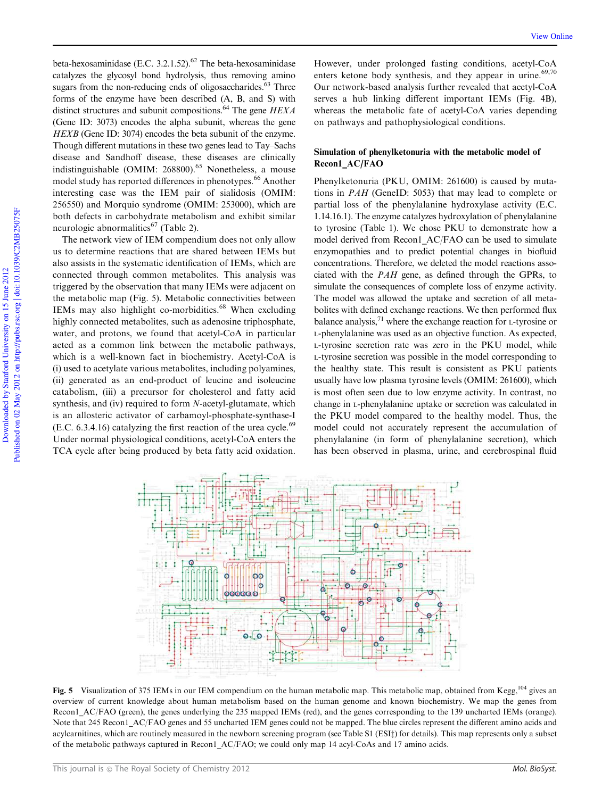beta-hexosaminidase (E.C. 3.2.1.52). $^{62}$  The beta-hexosaminidase catalyzes the glycosyl bond hydrolysis, thus removing amino sugars from the non-reducing ends of oligosaccharides.<sup>63</sup> Three forms of the enzyme have been described (A, B, and S) with distinct structures and subunit compositions.<sup>64</sup> The gene  $HEXA$ (Gene ID: 3073) encodes the alpha subunit, whereas the gene HEXB (Gene ID: 3074) encodes the beta subunit of the enzyme. Though different mutations in these two genes lead to Tay–Sachs disease and Sandhoff disease, these diseases are clinically indistinguishable (OMIM: 268800).<sup>65</sup> Nonetheless, a mouse model study has reported differences in phenotypes.<sup>66</sup> Another interesting case was the IEM pair of sialidosis (OMIM: 256550) and Morquio syndrome (OMIM: 253000), which are both defects in carbohydrate metabolism and exhibit similar neurologic abnormalities<sup>67</sup> (Table 2).

The network view of IEM compendium does not only allow us to determine reactions that are shared between IEMs but also assists in the systematic identification of IEMs, which are connected through common metabolites. This analysis was triggered by the observation that many IEMs were adjacent on the metabolic map (Fig. 5). Metabolic connectivities between IEMs may also highlight co-morbidities.<sup>68</sup> When excluding highly connected metabolites, such as adenosine triphosphate, water, and protons, we found that acetyl-CoA in particular acted as a common link between the metabolic pathways, which is a well-known fact in biochemistry. Acetyl-CoA is (i) used to acetylate various metabolites, including polyamines, (ii) generated as an end-product of leucine and isoleucine catabolism, (iii) a precursor for cholesterol and fatty acid synthesis, and (iv) required to form N-acetyl-glutamate, which is an allosteric activator of carbamoyl-phosphate-synthase-I  $($ E.C. 6.3.4.16 $)$  catalyzing the first reaction of the urea cycle.<sup>69</sup> Under normal physiological conditions, acetyl-CoA enters the TCA cycle after being produced by beta fatty acid oxidation.

However, under prolonged fasting conditions, acetyl-CoA enters ketone body synthesis, and they appear in urine.<sup>69,70</sup> Our network-based analysis further revealed that acetyl-CoA serves a hub linking different important IEMs (Fig. 4B), whereas the metabolic fate of acetyl-CoA varies depending on pathways and pathophysiological conditions.

### Simulation of phenylketonuria with the metabolic model of Recon1\_AC/FAO

Phenylketonuria (PKU, OMIM: 261600) is caused by mutations in PAH (GeneID: 5053) that may lead to complete or partial loss of the phenylalanine hydroxylase activity (E.C. 1.14.16.1). The enzyme catalyzes hydroxylation of phenylalanine to tyrosine (Table 1). We chose PKU to demonstrate how a model derived from Recon1\_AC/FAO can be used to simulate enzymopathies and to predict potential changes in biofluid concentrations. Therefore, we deleted the model reactions associated with the PAH gene, as defined through the GPRs, to simulate the consequences of complete loss of enzyme activity. The model was allowed the uptake and secretion of all metabolites with defined exchange reactions. We then performed flux balance analysis,<sup>71</sup> where the exchange reaction for L-tyrosine or <sup>L</sup>-phenylalanine was used as an objective function. As expected, <sup>L</sup>-tyrosine secretion rate was zero in the PKU model, while <sup>L</sup>-tyrosine secretion was possible in the model corresponding to the healthy state. This result is consistent as PKU patients usually have low plasma tyrosine levels (OMIM: 261600), which is most often seen due to low enzyme activity. In contrast, no change in <sup>L</sup>-phenylalanine uptake or secretion was calculated in the PKU model compared to the healthy model. Thus, the model could not accurately represent the accumulation of phenylalanine (in form of phenylalanine secretion), which has been observed in plasma, urine, and cerebrospinal fluid



Fig. 5 Visualization of 375 IEMs in our IEM compendium on the human metabolic map. This metabolic map, obtained from Kegg,<sup>104</sup> gives an overview of current knowledge about human metabolism based on the human genome and known biochemistry. We map the genes from Recon1\_AC/FAO (green), the genes underlying the 235 mapped IEMs (red), and the genes corresponding to the 139 uncharted IEMs (orange). Note that 245 Recon1\_AC/FAO genes and 55 uncharted IEM genes could not be mapped. The blue circles represent the different amino acids and acylcarnitines, which are routinely measured in the newborn screening program (see Table S1 (ESI‡) for details). This map represents only a subset of the metabolic pathways captured in Recon1\_AC/FAO; we could only map 14 acyl-CoAs and 17 amino acids.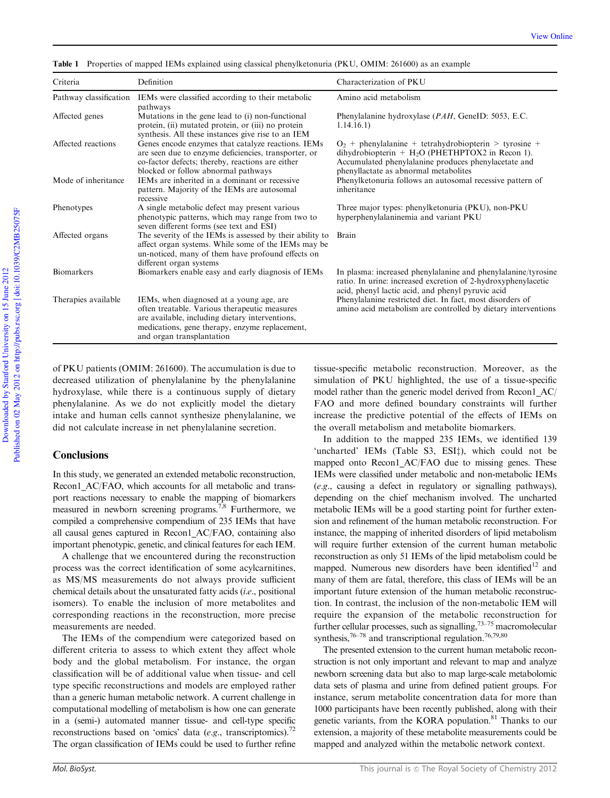| Criteria               | Definition                                                                                                                                                                                                                                                  | Characterization of PKU                                                                                                                                                                                        |
|------------------------|-------------------------------------------------------------------------------------------------------------------------------------------------------------------------------------------------------------------------------------------------------------|----------------------------------------------------------------------------------------------------------------------------------------------------------------------------------------------------------------|
| Pathway classification | IEMs were classified according to their metabolic                                                                                                                                                                                                           | Amino acid metabolism                                                                                                                                                                                          |
| Affected genes         | pathways<br>Mutations in the gene lead to (i) non-functional<br>protein, (ii) mutated protein, or (iii) no protein                                                                                                                                          | Phenylalanine hydroxylase ( <i>PAH</i> , GeneID: 5053, E.C.<br>1.14.16.1)                                                                                                                                      |
| Affected reactions     | synthesis. All these instances give rise to an IEM<br>Genes encode enzymes that catalyze reactions. IEMs<br>are seen due to enzyme deficiencies, transporter, or<br>co-factor defects; thereby, reactions are either<br>blocked or follow abnormal pathways | $O_2$ + phenylalanine + tetrahydrobiopterin > tyrosine +<br>dihydrobiopterin + $H2O$ (PHETHPTOX2 in Recon 1).<br>Accumulated phenylalanine produces phenylacetate and<br>phenyllactate as abnormal metabolites |
| Mode of inheritance    | IEMs are inherited in a dominant or recessive<br>pattern. Majority of the IEMs are autosomal<br>recessive                                                                                                                                                   | Phenylketonuria follows an autosomal recessive pattern of<br>inheritance                                                                                                                                       |
| Phenotypes             | A single metabolic defect may present various<br>phenotypic patterns, which may range from two to<br>seven different forms (see text and ESI)                                                                                                               | Three major types: phenylketonuria (PKU), non-PKU<br>hyperphenylalaninemia and variant PKU                                                                                                                     |
| Affected organs        | The severity of the IEMs is assessed by their ability to<br>affect organ systems. While some of the IEMs may be<br>un-noticed, many of them have profound effects on<br>different organ systems                                                             | Brain                                                                                                                                                                                                          |
| Biomarkers             | Biomarkers enable easy and early diagnosis of IEMs                                                                                                                                                                                                          | In plasma: increased phenylalanine and phenylalanine/tyrosine<br>ratio. In urine: increased excretion of 2-hydroxyphenylacetic<br>acid, phenyl lactic acid, and phenyl pyruvic acid                            |
| Therapies available    | IEMs, when diagnosed at a young age, are<br>often treatable. Various therapeutic measures<br>are available, including dietary interventions,<br>medications, gene therapy, enzyme replacement,<br>and organ transplantation                                 | Phenylalanine restricted diet. In fact, most disorders of<br>amino acid metabolism are controlled by dietary interventions                                                                                     |

Table 1 Properties of mapped IEMs explained using classical phenylketonuria (PKU, OMIM: 261600) as an example

of PKU patients (OMIM: 261600). The accumulation is due to decreased utilization of phenylalanine by the phenylalanine hydroxylase, while there is a continuous supply of dietary phenylalanine. As we do not explicitly model the dietary intake and human cells cannot synthesize phenylalanine, we did not calculate increase in net phenylalanine secretion.

## **Conclusions**

In this study, we generated an extended metabolic reconstruction, Recon1\_AC/FAO, which accounts for all metabolic and transport reactions necessary to enable the mapping of biomarkers measured in newborn screening programs.<sup>7,8</sup> Furthermore, we compiled a comprehensive compendium of 235 IEMs that have all causal genes captured in Recon1\_AC/FAO, containing also important phenotypic, genetic, and clinical features for each IEM.

A challenge that we encountered during the reconstruction process was the correct identification of some acylcarnitines, as MS/MS measurements do not always provide sufficient chemical details about the unsaturated fatty acids (i.e., positional isomers). To enable the inclusion of more metabolites and corresponding reactions in the reconstruction, more precise measurements are needed.

The IEMs of the compendium were categorized based on different criteria to assess to which extent they affect whole body and the global metabolism. For instance, the organ classification will be of additional value when tissue- and cell type specific reconstructions and models are employed rather than a generic human metabolic network. A current challenge in computational modelling of metabolism is how one can generate in a (semi-) automated manner tissue- and cell-type specific reconstructions based on 'omics' data (e.g., transcriptomics).<sup>72</sup> The organ classification of IEMs could be used to further refine

tissue-specific metabolic reconstruction. Moreover, as the simulation of PKU highlighted, the use of a tissue-specific model rather than the generic model derived from Recon1\_AC/ FAO and more defined boundary constraints will further increase the predictive potential of the effects of IEMs on the overall metabolism and metabolite biomarkers.

In addition to the mapped 235 IEMs, we identified 139 'uncharted' IEMs (Table S3, ESI<sup>t</sup>), which could not be mapped onto Recon1 AC/FAO due to missing genes. These IEMs were classified under metabolic and non-metabolic IEMs (e.g., causing a defect in regulatory or signalling pathways), depending on the chief mechanism involved. The uncharted metabolic IEMs will be a good starting point for further extension and refinement of the human metabolic reconstruction. For instance, the mapping of inherited disorders of lipid metabolism will require further extension of the current human metabolic reconstruction as only 51 IEMs of the lipid metabolism could be mapped. Numerous new disorders have been identified<sup>12</sup> and many of them are fatal, therefore, this class of IEMs will be an important future extension of the human metabolic reconstruction. In contrast, the inclusion of the non-metabolic IEM will require the expansion of the metabolic reconstruction for further cellular processes, such as signalling,  $73-75$  macromolecular synthesis,<sup>76–78</sup> and transcriptional regulation.<sup>76,79,80</sup>

The presented extension to the current human metabolic reconstruction is not only important and relevant to map and analyze newborn screening data but also to map large-scale metabolomic data sets of plasma and urine from defined patient groups. For instance, serum metabolite concentration data for more than 1000 participants have been recently published, along with their genetic variants, from the KORA population.<sup>81</sup> Thanks to our extension, a majority of these metabolite measurements could be mapped and analyzed within the metabolic network context.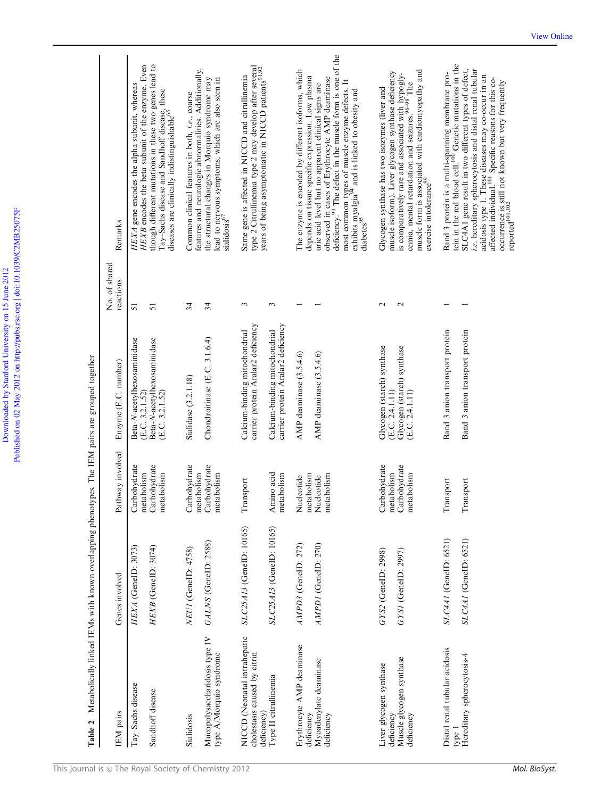Downloaded by Stanford University on 15 June 2012<br>Published on 02 May 2012 on http://pubs.rsc.org | doi:10.1039/C2MB25075F Published on 02 May 2012 on http://pubs.rsc.org | doi:10.1039/C2MB25075F Downloaded by Stanford University on 15 June 2012

| HEXB encodes the beta subunit of the enzyme. Even<br>features and neurologic abnormalities. Additionally,<br>34<br>3<br>3<br>$\sim$<br>$\mathbf{\sim}$<br>34<br>51<br>51<br>carrier protein Aralar2 deficiency<br>carrier protein Aralar2 deficiency<br>Calcium-binding mitochondrial<br>Band 3 anion transport protein<br>Band 3 anion transport protein<br>Calcium-binding mitochondrial<br>Beta-N-acetylhexosaminidase<br>Chondroitinase (E.C. 3.1.6.4)<br>Beta-N-acetylhexosaminidase<br>Glycogen (starch) synthase<br>Glycogen (starch) synthase<br>AMP deaminase (3.5.4.6)<br>AMP deaminase (3.5.4.6)<br>Sialidase (3.2.1.18)<br>(E.C. 2.4.1.11)<br>(E.C. 2.4.1.11)<br>(E.C. 3.2.1.52)<br>(E.C. 3.2.1.52)<br>Carbohydrate<br>Carbohydrate<br>Carbohydrate<br>Carbohydrate<br>Carbohydrate<br>Carbohydrate<br>metabolism<br>metabolism<br>metabolism<br>metabolism<br>metabolism<br>metabolism<br>Amino acid<br>metabolism<br>metabolism<br>metabolism<br>Nucleotide<br>Nucleotide<br>Transport<br>Transport<br>Transport<br>SLC25A13 (GeneID: 10165)<br>SLC25A13 (GeneID: 10165)<br>SLC4A1 (GeneID: 6521)<br>SLC4A1 (GeneID: 6521)<br>GALNS (GeneID: 2588)<br>AMPD3 (GeneID: 272)<br>AMPD1 (GeneID: 270)<br>HEXA (GeneID: 3073)<br>HEXB (GeneID: 3074)<br>NEUI (GeneID: 4758)<br>GYS2 (GeneID: 2998)<br>GYS1 (GeneID: 2997)<br>NICCD (Neonatal intrahepatic<br>Mucopolysaccharidosis type IV<br>Erythrocyte AMP deaminase<br>Distal renal tubular acidosis<br>type A/Morquio syndrome<br>cholestasis caused by citrin<br>Hereditary spherocytosis-4<br>Muscle glycogen synthase<br>Myoadenylate deaminase<br>Liver glycogen synthase<br>Type II citrullinemia<br>Tay-Sachs disease<br>Sandhoff disease<br>deficiency)<br>deficiency<br>deficiency<br>deficiency<br>deficiency<br>Sialidosis<br>type 1 | <b>IEM</b> pairs | Genes involved | Pathway involved | Enzyme (E.C. number) | No. of shared<br>reactions | Remarks                                                                                                                                                                                                                                                                                                                                                                                                                                               |
|-------------------------------------------------------------------------------------------------------------------------------------------------------------------------------------------------------------------------------------------------------------------------------------------------------------------------------------------------------------------------------------------------------------------------------------------------------------------------------------------------------------------------------------------------------------------------------------------------------------------------------------------------------------------------------------------------------------------------------------------------------------------------------------------------------------------------------------------------------------------------------------------------------------------------------------------------------------------------------------------------------------------------------------------------------------------------------------------------------------------------------------------------------------------------------------------------------------------------------------------------------------------------------------------------------------------------------------------------------------------------------------------------------------------------------------------------------------------------------------------------------------------------------------------------------------------------------------------------------------------------------------------------------------------------------------------------------------------------------------------------------------------------------------------------------------|------------------|----------------|------------------|----------------------|----------------------------|-------------------------------------------------------------------------------------------------------------------------------------------------------------------------------------------------------------------------------------------------------------------------------------------------------------------------------------------------------------------------------------------------------------------------------------------------------|
|                                                                                                                                                                                                                                                                                                                                                                                                                                                                                                                                                                                                                                                                                                                                                                                                                                                                                                                                                                                                                                                                                                                                                                                                                                                                                                                                                                                                                                                                                                                                                                                                                                                                                                                                                                                                             |                  |                |                  |                      |                            | HEXA gene encodes the alpha subunit, whereas                                                                                                                                                                                                                                                                                                                                                                                                          |
|                                                                                                                                                                                                                                                                                                                                                                                                                                                                                                                                                                                                                                                                                                                                                                                                                                                                                                                                                                                                                                                                                                                                                                                                                                                                                                                                                                                                                                                                                                                                                                                                                                                                                                                                                                                                             |                  |                |                  |                      |                            | though different mutations in these two genes lead to<br>Tay–Sachs disease and Sandhoff disease, these<br>diseases are clinically indistinguishable <sup>65</sup>                                                                                                                                                                                                                                                                                     |
|                                                                                                                                                                                                                                                                                                                                                                                                                                                                                                                                                                                                                                                                                                                                                                                                                                                                                                                                                                                                                                                                                                                                                                                                                                                                                                                                                                                                                                                                                                                                                                                                                                                                                                                                                                                                             |                  |                |                  |                      |                            | Common clinical features in both, i.e., coarse                                                                                                                                                                                                                                                                                                                                                                                                        |
|                                                                                                                                                                                                                                                                                                                                                                                                                                                                                                                                                                                                                                                                                                                                                                                                                                                                                                                                                                                                                                                                                                                                                                                                                                                                                                                                                                                                                                                                                                                                                                                                                                                                                                                                                                                                             |                  |                |                  |                      |                            | the structural changes in Morquio syndrome may<br>lead to nervous symptoms, which are also seen in sialidosis <sup>67</sup>                                                                                                                                                                                                                                                                                                                           |
|                                                                                                                                                                                                                                                                                                                                                                                                                                                                                                                                                                                                                                                                                                                                                                                                                                                                                                                                                                                                                                                                                                                                                                                                                                                                                                                                                                                                                                                                                                                                                                                                                                                                                                                                                                                                             |                  |                |                  |                      |                            | type 2 Citrullinemia type 2 may develop after several<br>years of being asymptomatic in NICCD patients <sup>91,92</sup><br>Same gene is affected in NICCD and citrullinemia                                                                                                                                                                                                                                                                           |
|                                                                                                                                                                                                                                                                                                                                                                                                                                                                                                                                                                                                                                                                                                                                                                                                                                                                                                                                                                                                                                                                                                                                                                                                                                                                                                                                                                                                                                                                                                                                                                                                                                                                                                                                                                                                             |                  |                |                  |                      |                            |                                                                                                                                                                                                                                                                                                                                                                                                                                                       |
|                                                                                                                                                                                                                                                                                                                                                                                                                                                                                                                                                                                                                                                                                                                                                                                                                                                                                                                                                                                                                                                                                                                                                                                                                                                                                                                                                                                                                                                                                                                                                                                                                                                                                                                                                                                                             |                  |                |                  |                      |                            | The enzyme is encoded by different isoforms, which                                                                                                                                                                                                                                                                                                                                                                                                    |
|                                                                                                                                                                                                                                                                                                                                                                                                                                                                                                                                                                                                                                                                                                                                                                                                                                                                                                                                                                                                                                                                                                                                                                                                                                                                                                                                                                                                                                                                                                                                                                                                                                                                                                                                                                                                             |                  |                |                  |                      |                            | deficiency. <sup>33</sup> The defect in the muscle form is one of the<br>depends on tissue specific expression. Low plasma<br>observed in cases of Erythrocyte AMP deaminase<br>most common types of muscle enzyme defects. It<br>exhibits myalgia <sup>94</sup> and is linked to obesity and<br>diabetes <sup>95</sup><br>uric acid level but no apparent clinical signs are                                                                         |
|                                                                                                                                                                                                                                                                                                                                                                                                                                                                                                                                                                                                                                                                                                                                                                                                                                                                                                                                                                                                                                                                                                                                                                                                                                                                                                                                                                                                                                                                                                                                                                                                                                                                                                                                                                                                             |                  |                |                  |                      |                            | is comparatively rare and associated with hypogly-<br>cemia, mental retardation and seizures. <sup>96-98</sup> The<br>muscle form is associated with cardiomyopathy and<br>exercise intolerance <sup>99</sup><br>muscle isoform). Liver glycogen synthase deficiency<br>Glycogen synthase has two isozymes (liver and                                                                                                                                 |
|                                                                                                                                                                                                                                                                                                                                                                                                                                                                                                                                                                                                                                                                                                                                                                                                                                                                                                                                                                                                                                                                                                                                                                                                                                                                                                                                                                                                                                                                                                                                                                                                                                                                                                                                                                                                             |                  |                |                  |                      |                            | Band 3 protein is a multi-spanning membrane pro-<br>tein in the red blood cell. <sup>100</sup> Genetic mutations in the<br>SLC4A1 gene result in two different types of defect,<br>i.e. hereditary spherocytosis and distal renal tubular<br>acidosis type 1. These diseases may co-occur in an affected individual. <sup>101</sup> Specific reasons for this co-<br>occurrence is still not known but very frequently<br>reported <sup>101,102</sup> |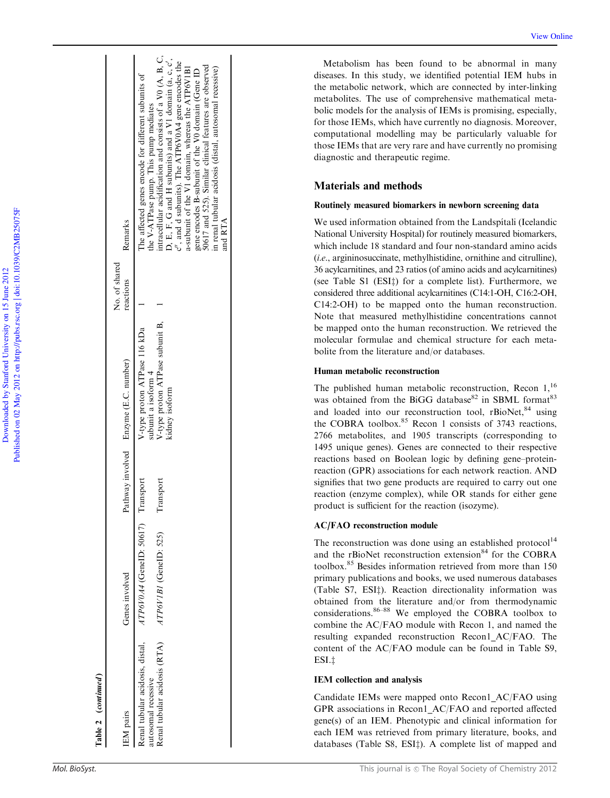| Table 2 (continued)                                    |                                    |           |                                                     |                            |                                                                                              |
|--------------------------------------------------------|------------------------------------|-----------|-----------------------------------------------------|----------------------------|----------------------------------------------------------------------------------------------|
| <b>IEM</b> pairs                                       | Genes involved                     |           | Pathway involved Enzyme (E.C. number)               | No. of shared<br>reactions | Remarks                                                                                      |
| Renal tubular acidosis, distal,<br>autosomal recessive | ATP6V0A4 (GeneID: 50617) Transport |           | V-type proton ATPase 116 kDa<br>subunit a isoform 4 |                            | The affected genes encode for different subunits of<br>the V-ATPase pump. This pump mediates |
| Renal tubular acidosis (RTA)                           | $ATP6VIBI$ (GeneID: 525)           | Transport | V-type proton ATPase subunit B,                     |                            | intracellular acidification and consists of a V0 (A, B, C,                                   |
|                                                        |                                    |           | kidney isoform                                      |                            | D, E, F, G and H subunits) and a V1 domain (a, c, c',                                        |
|                                                        |                                    |           |                                                     |                            | $c'$ , and d subunits). The ATP6V0A4 gene encodes the                                        |
|                                                        |                                    |           |                                                     |                            | a-subunit of the V1 domain, whereas the ATP6V1B1                                             |
|                                                        |                                    |           |                                                     |                            | gene encodes B-subunit of the V0 domain (Gene ID                                             |
|                                                        |                                    |           |                                                     |                            | 50617 and 525). Similar clinical features are observed                                       |
|                                                        |                                    |           |                                                     |                            | n renal tubular acidosis (distal, autosomal recessive)                                       |
|                                                        |                                    |           |                                                     |                            | and RTA                                                                                      |

View Online

Metabolism has been found to be abnormal in many diseases. In this study, we identified potential IEM hubs in the metabolic network, which are connected by inter-linking metabolites. The use of comprehensive mathematical metabolic models for the analysis of IEMs is promising, especially, for those IEMs, which have currently no diagnosis. Moreover, computational modelling may be particularly valuable for those IEMs that are very rare and have currently no promising diagnostic and therapeutic regime.

## Materials and methods

## Routinely measured biomarkers in newborn screening data

We used information obtained from the Landspitali (Icelandic National University Hospital) for routinely measured biomarkers, which include 18 standard and four non-standard amino acids (i.e., argininosuccinate, methylhistidine, ornithine and citrulline), 36 acylcarnitines, and 23 ratios (of amino acids and acylcarnitines) (see Table S1  $(ESI<sub>+</sub>)$  for a complete list). Furthermore, we considered three additional acylcarnitines (C14:1-OH, C16:2-OH, C14:2-OH) to be mapped onto the human reconstruction. Note that measured methylhistidine concentrations cannot be mapped onto the human reconstruction. We retrieved the molecular formulae and chemical structure for each metabolite from the literature and/or databases.

## Human metabolic reconstruction

The published human metabolic reconstruction, Recon  $1$ , <sup>16</sup> was obtained from the BiGG database<sup>82</sup> in SBML format<sup>83</sup> and loaded into our reconstruction tool,  $r\text{BioNet}, \, ^{84}$  using the COBRA toolbox.<sup>85</sup> Recon 1 consists of 3743 reactions, 2766 metabolites, and 1905 transcripts (corresponding to 1495 unique genes). Genes are connected to their respective reactions based on Boolean logic by defining gene–proteinreaction (GPR) associations for each network reaction. AND signifies that two gene products are required to carry out one reaction (enzyme complex), while OR stands for either gene product is sufficient for the reaction (isozyme).

## AC/FAO reconstruction module

The reconstruction was done using an established protocol<sup>14</sup> and the rBioNet reconstruction extension<sup>84</sup> for the COBRA toolbox.<sup>85</sup> Besides information retrieved from more than 150 primary publications and books, we used numerous databases (Table S7, ESI z). Reaction directionality information was obtained from the literature and/or from thermodynamic considerations.86–88 We employed the COBRA toolbox to combine the AC/FAO module with Recon 1, and named the resulting expanded reconstruction Recon1\_AC/FAO. The content of the AC/FAO module can be found in Table S9, ESI.‡

## IEM collection and analysis

Candidate IEMs were mapped onto Recon1\_AC/FAO using GPR associations in Recon1\_AC/FAO and reported affected gene(s) of an IEM. Phenotypic and clinical information for each IEM was retrieved from primary literature, books, and databases (Table S8, ESI‡). A complete list of mapped and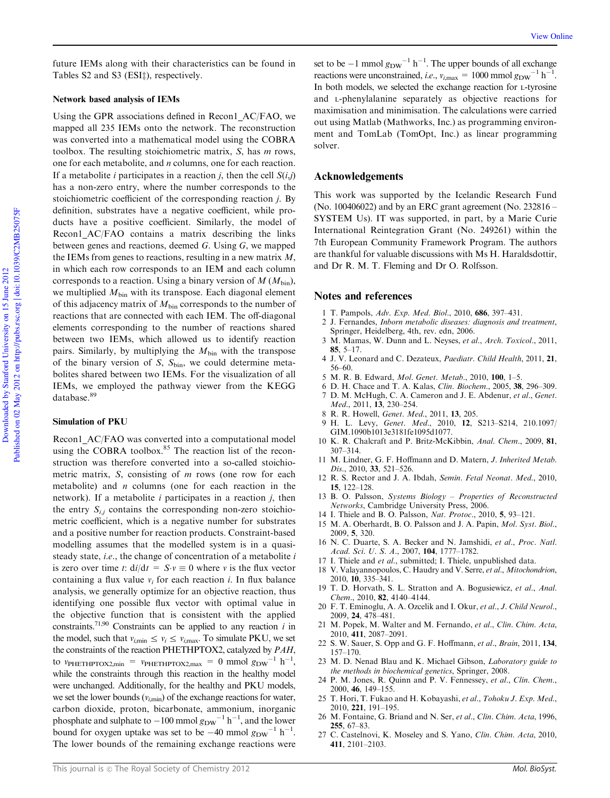future IEMs along with their characteristics can be found in Tables S2 and S3 (ESI<sup>†</sup>), respectively.

#### Network based analysis of IEMs

Using the GPR associations defined in Recon1\_AC/FAO, we mapped all 235 IEMs onto the network. The reconstruction was converted into a mathematical model using the COBRA toolbox. The resulting stoichiometric matrix, S, has m rows, one for each metabolite, and n columns, one for each reaction. If a metabolite *i* participates in a reaction *j*, then the cell  $S(i,j)$ has a non-zero entry, where the number corresponds to the stoichiometric coefficient of the corresponding reaction j. By definition, substrates have a negative coefficient, while products have a positive coefficient. Similarly, the model of Recon1\_AC/FAO contains a matrix describing the links between genes and reactions, deemed G. Using G, we mapped the IEMs from genes to reactions, resulting in a new matrix  $M$ , in which each row corresponds to an IEM and each column corresponds to a reaction. Using a binary version of  $M(M_{\text{bin}})$ , we multiplied  $M_{\text{bin}}$  with its transpose. Each diagonal element of this adjacency matrix of  $M_{\text{bin}}$  corresponds to the number of reactions that are connected with each IEM. The off-diagonal elements corresponding to the number of reactions shared between two IEMs, which allowed us to identify reaction pairs. Similarly, by multiplying the  $M_{\text{bin}}$  with the transpose of the binary version of  $S$ ,  $S_{\text{bin}}$ , we could determine metabolites shared between two IEMs. For the visualization of all IEMs, we employed the pathway viewer from the KEGG database. 89

#### Simulation of PKU

Recon1\_AC/FAO was converted into a computational model using the COBRA toolbox. $85$  The reaction list of the reconstruction was therefore converted into a so-called stoichiometric matrix,  $S$ , consisting of  $m$  rows (one row for each metabolite) and  $n$  columns (one for each reaction in the network). If a metabolite  $i$  participates in a reaction  $j$ , then the entry  $S_{i,j}$  contains the corresponding non-zero stoichiometric coefficient, which is a negative number for substrates and a positive number for reaction products. Constraint-based modelling assumes that the modelled system is in a quasisteady state, *i.e.*, the change of concentration of a metabolite *i* is zero over time *t*:  $di/dt = S v \equiv 0$  where *v* is the flux vector containing a flux value  $v_i$  for each reaction *i*. In flux balance analysis, we generally optimize for an objective reaction, thus identifying one possible flux vector with optimal value in the objective function that is consistent with the applied constraints.<sup>71,90</sup> Constraints can be applied to any reaction  $i$  in the model, such that  $v_{i,\text{min}} \le v_i \le v_{i,\text{max}}$ . To simulate PKU, we set the constraints of the reaction PHETHPTOX2, catalyzed by PAH, to vphethptox2,min = vphethptox2,max = 0 mmol  $g_{\text{DW}}^{-1}$  h<sup>-1</sup>, while the constraints through this reaction in the healthy model were unchanged. Additionally, for the healthy and PKU models, we set the lower bounds  $(v_{i,min})$  of the exchange reactions for water, carbon dioxide, proton, bicarbonate, ammonium, inorganic phosphate and sulphate to  $-100$  mmol  $g_{\text{DW}}^{-1}$  h<sup>-1</sup>, and the lower bound for oxygen uptake was set to be  $-40$  mmol  $g_{\text{DW}}^{-1}$  h<sup>-1</sup>. The lower bounds of the remaining exchange reactions were

set to be  $-1$  mmol  $g_{DW}^{-1}$  h<sup>-1</sup>. The upper bounds of all exchange reactions were unconstrained, *i.e.*,  $v_{i, \text{max}} = 1000 \text{ mmol g}_{\text{DW}}^{-1} \text{ h}^{-1}$ . In both models, we selected the exchange reaction for <sup>L</sup>-tyrosine and <sup>L</sup>-phenylalanine separately as objective reactions for maximisation and minimisation. The calculations were carried out using Matlab (Mathworks, Inc.) as programming environment and TomLab (TomOpt, Inc.) as linear programming solver.

#### Acknowledgements

This work was supported by the Icelandic Research Fund (No. 100406022) and by an ERC grant agreement (No. 232816 – SYSTEM Us). IT was supported, in part, by a Marie Curie International Reintegration Grant (No. 249261) within the 7th European Community Framework Program. The authors are thankful for valuable discussions with Ms H. Haraldsdottir, and Dr R. M. T. Fleming and Dr O. Rolfsson.

## Notes and references

- 1 T. Pampols, Adv. Exp. Med. Biol., 2010, 686, 397–431.
- 2 J. Fernandes, Inborn metabolic diseases: diagnosis and treatment, Springer, Heidelberg, 4th, rev. edn, 2006.
- 3 M. Mamas, W. Dunn and L. Neyses, et al., Arch. Toxicol., 2011, 85, 5–17.
- 4 J. V. Leonard and C. Dezateux, Paediatr. Child Health, 2011, 21, 56–60.
- 5 M. R. B. Edward, Mol. Genet. Metab., 2010, 100, 1–5.
- 6 D. H. Chace and T. A. Kalas, Clin. Biochem., 2005, 38, 296–309.
- 7 D. M. McHugh, C. A. Cameron and J. E. Abdenur, et al., Genet. Med., 2011, 13, 230–254.
- 
- 8 R. R. Howell, *Genet. Med.*, 2011, **13**, 205.<br>9 H L. Levy *Genet. Med.* 2010 **12**. H. L. Levy, Genet. Med., 2010, 12, S213-S214, 210.1097/ GIM.1090b1013e3181fe1095d1077.
- 10 K. R. Chalcraft and P. Britz-McKibbin, Anal. Chem., 2009, 81, 307–314.
- 11 M. Lindner, G. F. Hoffmann and D. Matern, J. Inherited Metab. Dis., 2010, 33, 521-526.
- 12 R. S. Rector and J. A. Ibdah, Semin. Fetal Neonat. Med., 2010, 15, 122–128.
- 13 B. O. Palsson, Systems Biology Properties of Reconstructed Networks, Cambridge University Press, 2006.
- 14 I. Thiele and B. O. Palsson, Nat. Protoc., 2010, 5, 93–121.
- 15 M. A. Oberhardt, B. O. Palsson and J. A. Papin, Mol. Syst. Biol., 2009, 5, 320.
- 16 N. C. Duarte, S. A. Becker and N. Jamshidi, et al., Proc. Natl. Acad. Sci. U. S. A., 2007, 104, 1777–1782.
- 17 I. Thiele and et al., submitted; I. Thiele, unpublished data.
- 18 V. Valayannopoulos, C. Haudry and V. Serre, et al., Mitochondrion, 2010, 10, 335–341.
- 19 T. D. Horvath, S. L. Stratton and A. Bogusiewicz, et al., Anal. Chem., 2010, 82, 4140–4144.
- 20 F. T. Eminoglu, A. A. Ozcelik and I. Okur, et al., J. Child Neurol., 2009, 24, 478–481.
- 21 M. Popek, M. Walter and M. Fernando, et al., Clin. Chim. Acta, 2010, 411, 2087–2091.
- 22 S. W. Sauer, S. Opp and G. F. Hoffmann, et al., Brain, 2011, 134, 157–170.
- 23 M. D. Nenad Blau and K. Michael Gibson, Laboratory guide to the methods in biochemical genetics, Springer, 2008.
- 24 P. M. Jones, R. Quinn and P. V. Fennessey, et al., Clin. Chem., 2000, 46, 149–155.
- 25 T. Hori, T. Fukao and H. Kobayashi, et al., Tohoku J. Exp. Med., 2010, 221, 191–195.
- 26 M. Fontaine, G. Briand and N. Ser, et al., Clin. Chim. Acta, 1996, 255, 67–83.
- 27 C. Castelnovi, K. Moseley and S. Yano, Clin. Chim. Acta, 2010, 411, 2101–2103.